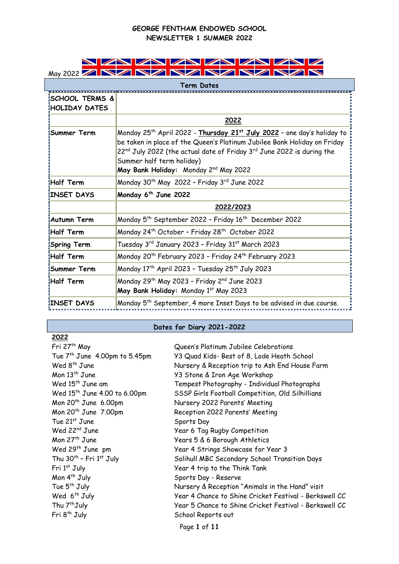

| Term Dates                                        |                                                                                                                                                                                                                                                                                                                                                    |  |
|---------------------------------------------------|----------------------------------------------------------------------------------------------------------------------------------------------------------------------------------------------------------------------------------------------------------------------------------------------------------------------------------------------------|--|
| <b>SCHOOL TERMS &amp;</b><br><b>HOLIDAY DATES</b> |                                                                                                                                                                                                                                                                                                                                                    |  |
|                                                   | 2022                                                                                                                                                                                                                                                                                                                                               |  |
| Summer Term                                       | Monday 25 <sup>th</sup> April 2022 - Thursday 21 <sup>st</sup> July 2022 - one day's holiday to<br>be taken in place of the Queen's Platinum Jubilee Bank Holiday on Friday<br>$22^{\text{nd}}$ July 2022 (the actual date of Friday $3^{\text{rd}}$ June 2022 is during the<br>Summer half term holiday)<br>May Bank Holiday: Monday 2nd May 2022 |  |
| <b>Half Term!</b>                                 | Monday 30 <sup>th</sup> May 2022 - Friday 3rd June 2022                                                                                                                                                                                                                                                                                            |  |
| <b>INSET DAYS</b>                                 | Monday 6 <sup>th</sup> June 2022                                                                                                                                                                                                                                                                                                                   |  |
|                                                   | 2022/2023                                                                                                                                                                                                                                                                                                                                          |  |
| <b>Autumn Term</b>                                | Monday 5 <sup>th</sup> September 2022 - Friday 16 <sup>th</sup> December 2022                                                                                                                                                                                                                                                                      |  |
| <b>Half Term</b>                                  | Monday 24th October - Friday 28th October 2022                                                                                                                                                                                                                                                                                                     |  |
| Spring Term                                       | Tuesday 3rd January 2023 - Friday 31st March 2023                                                                                                                                                                                                                                                                                                  |  |
| Half Term                                         | Monday 20 <sup>th</sup> February 2023 - Friday 24 <sup>th</sup> February 2023                                                                                                                                                                                                                                                                      |  |
| Summer Term                                       | Monday 17 <sup>th</sup> April 2023 - Tuesday 25 <sup>th</sup> July 2023                                                                                                                                                                                                                                                                            |  |
| <b>Half Term</b>                                  | Monday 29 <sup>th</sup> May 2023 - Friday 2 <sup>nd</sup> June 2023<br>May Bank Holiday: Monday 1st May 2023                                                                                                                                                                                                                                       |  |
| <b>INSET DAYS</b>                                 | Monday 5 <sup>th</sup> September, 4 more Inset Days to be advised in due course.                                                                                                                                                                                                                                                                   |  |

# **Dates for Diary 2021-2022**

| 2022                                     |                                                        |
|------------------------------------------|--------------------------------------------------------|
| Fri 27 <sup>th</sup> May                 | Queen's Platinum Jubilee Celebrations                  |
| Tue $7th$ June 4.00pm to 5.45pm          | Y3 Quad Kids- Best of 8, Lode Heath School             |
| Wed $8th$ June                           | Nursery & Reception trip to Ash End House Farm         |
| Mon $13th$ June                          | Y3 Stone & Iron Age Workshop                           |
| Wed 15 <sup>th</sup> June am             | Tempest Photography - Individual Photographs           |
| Wed 15 <sup>th</sup> June 4.00 to 6.00pm | SSSP Girls Football Competition, Old Silhillians       |
| Mon 20 <sup>th</sup> June 6.00pm         | Nursery 2022 Parents' Meeting                          |
| Mon 20 <sup>th</sup> June 7.00pm         | Reception 2022 Parents' Meeting                        |
| Tue 21 <sup>st</sup> June                | Sports Day                                             |
| Wed 22 <sup>nd</sup> June                | Year 6 Tag Rugby Competition                           |
| Mon $27th$ June                          | Years 5 & 6 Borough Athletics                          |
| Wed 29 <sup>th</sup> June pm             | Year 4 Strings Showcase for Year 3                     |
| Thu 30 <sup>th</sup> - Fri 1st July      | Solihull MBC Secondary School Transition Days          |
| Fri 1st July                             | Year 4 trip to the Think Tank                          |
| Mon 4 <sup>th</sup> July                 | Sports Day - Reserve                                   |
| Tue 5 <sup>th</sup> July                 | Nursery & Reception "Animals in the Hand" visit        |
| Wed 6 <sup>th</sup> July                 | Year 4 Chance to Shine Cricket Festival - Berkswell CC |
| Thu 7 <sup>th</sup> July                 | Year 5 Chance to Shine Cricket Festival - Berkswell CC |
| Fri 8 <sup>th</sup> July                 | School Reports out                                     |
|                                          | Page 1 of 11                                           |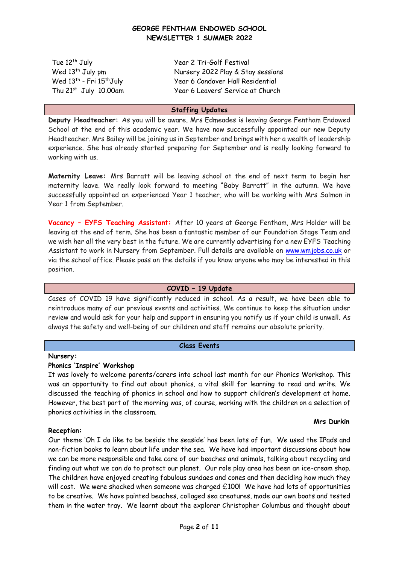Wed 13<sup>th</sup> - Fri 15<sup>th</sup>July

Tue 12th July Year 2 Tri-Golf Festival Wed 13<sup>th</sup> July pm Nursery 2022 Play & Stay sessions Year 6 Condover Hall Residential Thu 21<sup>st</sup> July 10.00am Year 6 Leavers' Service at Church

#### **Staffing Updates**

**Deputy Headteacher:** As you will be aware, Mrs Edmeades is leaving George Fentham Endowed School at the end of this academic year. We have now successfully appointed our new Deputy Headteacher. Mrs Bailey will be joining us in September and brings with her a wealth of leadership experience. She has already started preparing for September and is really looking forward to working with us.

**Maternity Leave:** Mrs Barratt will be leaving school at the end of next term to begin her maternity leave. We really look forward to meeting "Baby Barratt" in the autumn. We have successfully appointed an experienced Year 1 teacher, who will be working with Mrs Salmon in Year 1 from September.

**Vacancy – EYFS Teaching Assistant:** After 10 years at George Fentham, Mrs Holder will be leaving at the end of term. She has been a fantastic member of our Foundation Stage Team and we wish her all the very best in the future. We are currently advertising for a new EYFS Teaching Assistant to work in Nursery from September. Full details are available on [www.wmjobs.co.uk](http://www.wmjobs.co.uk/) or via the school office. Please pass on the details if you know anyone who may be interested in this position.

### **COVID – 19 Update**

Cases of COVID 19 have significantly reduced in school. As a result, we have been able to reintroduce many of our previous events and activities. We continue to keep the situation under review and would ask for your help and support in ensuring you notify us if your child is unwell. As always the safety and well-being of our children and staff remains our absolute priority.

#### **Class Events**

#### **Nursery:**

#### **Phonics 'Inspire' Workshop**

It was lovely to welcome parents/carers into school last month for our Phonics Workshop. This was an opportunity to find out about phonics, a vital skill for learning to read and write. We discussed the teaching of phonics in school and how to support children's development at home. However, the best part of the morning was, of course, working with the children on a selection of phonics activities in the classroom.

#### **Reception:**

#### **Mrs Durkin**

Our theme 'Oh I do like to be beside the seaside' has been lots of fun. We used the IPads and non-fiction books to learn about life under the sea. We have had important discussions about how we can be more responsible and take care of our beaches and animals, talking about recycling and finding out what we can do to protect our planet. Our role play area has been an ice-cream shop. The children have enjoyed creating fabulous sundaes and cones and then deciding how much they will cost. We were shocked when someone was charged £100! We have had lots of opportunities to be creative. We have painted beaches, collaged sea creatures, made our own boats and tested them in the water tray. We learnt about the explorer Christopher Columbus and thought about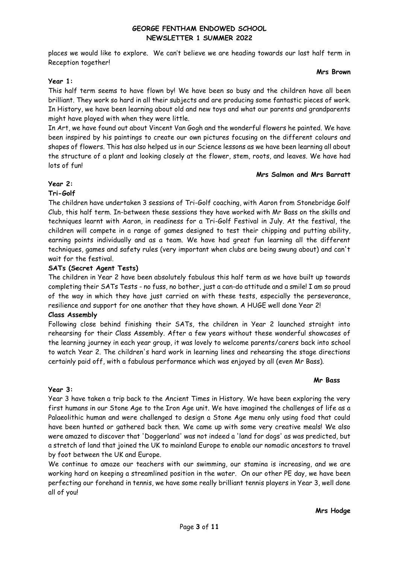places we would like to explore. We can't believe we are heading towards our last half term in Reception together!

#### **Mrs Brown**

# **Year 1:**

This half term seems to have flown by! We have been so busy and the children have all been brilliant. They work so hard in all their subjects and are producing some fantastic pieces of work. In History, we have been learning about old and new toys and what our parents and grandparents might have played with when they were little.

In Art, we have found out about Vincent Van Gogh and the wonderful flowers he painted. We have been inspired by his paintings to create our own pictures focusing on the different colours and shapes of flowers. This has also helped us in our Science lessons as we have been learning all about the structure of a plant and looking closely at the flower, stem, roots, and leaves. We have had lots of fun!

### **Mrs Salmon and Mrs Barratt**

# **Year 2:**

# **Tri-Golf**

The children have undertaken 3 sessions of Tri-Golf coaching, with Aaron from Stonebridge Golf Club, this half term. In-between these sessions they have worked with Mr Bass on the skills and techniques learnt with Aaron, in readiness for a Tri-Golf Festival in July. At the festival, the children will compete in a range of games designed to test their chipping and putting ability, earning points individually and as a team. We have had great fun learning all the different techniques, games and safety rules (very important when clubs are being swung about) and can't wait for the festival.

# **SATs (Secret Agent Tests)**

The children in Year 2 have been absolutely fabulous this half term as we have built up towards completing their SATs Tests - no fuss, no bother, just a can-do attitude and a smile! I am so proud of the way in which they have just carried on with these tests, especially the perseverance, resilience and support for one another that they have shown. A HUGE well done Year 2!

# **Class Assembly**

Following close behind finishing their SATs, the children in Year 2 launched straight into rehearsing for their Class Assembly. After a few years without these wonderful showcases of the learning journey in each year group, it was lovely to welcome parents/carers back into school to watch Year 2. The children's hard work in learning lines and rehearsing the stage directions certainly paid off, with a fabulous performance which was enjoyed by all (even Mr Bass).

#### **Mr Bass**

# **Year 3:**

Year 3 have taken a trip back to the Ancient Times in History. We have been exploring the very first humans in our Stone Age to the Iron Age unit. We have imagined the challenges of life as a Palaeolithic human and were challenged to design a Stone Age menu only using food that could have been hunted or gathered back then. We came up with some very creative meals! We also were amazed to discover that 'Doggerland' was not indeed a 'land for dogs' as was predicted, but a stretch of land that joined the UK to mainland Europe to enable our nomadic ancestors to travel by foot between the UK and Europe.

We continue to amaze our teachers with our swimming, our stamina is increasing, and we are working hard on keeping a streamlined position in the water. On our other PE day, we have been perfecting our forehand in tennis, we have some really brilliant tennis players in Year 3, well done all of you!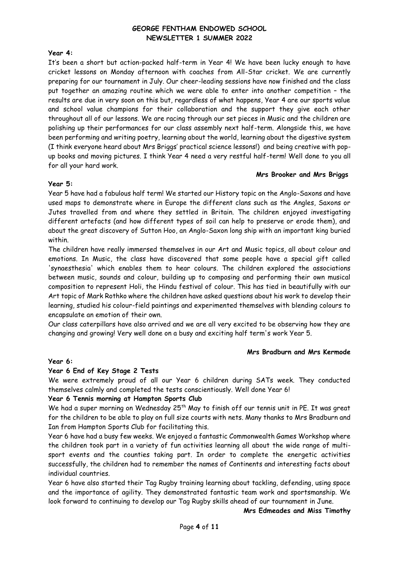### **Year 4:**

It's been a short but action-packed half-term in Year 4! We have been lucky enough to have cricket lessons on Monday afternoon with coaches from All-Star cricket. We are currently preparing for our tournament in July. Our cheer-leading sessions have now finished and the class put together an amazing routine which we were able to enter into another competition – the results are due in very soon on this but, regardless of what happens, Year 4 are our sports value and school value champions for their collaboration and the support they give each other throughout all of our lessons. We are racing through our set pieces in Music and the children are polishing up their performances for our class assembly next half-term. Alongside this, we have been performing and writing poetry, learning about the world, learning about the digestive system (I think everyone heard about Mrs Briggs' practical science lessons!) and being creative with popup books and moving pictures. I think Year 4 need a very restful half-term! Well done to you all for all your hard work.

#### **Mrs Brooker and Mrs Briggs**

#### **Year 5:**

Year 5 have had a fabulous half term! We started our History topic on the Anglo-Saxons and have used maps to demonstrate where in Europe the different clans such as the Angles, Saxons or Jutes travelled from and where they settled in Britain. The children enjoyed investigating different artefacts (and how different types of soil can help to preserve or erode them), and about the great discovery of Sutton Hoo, an Anglo-Saxon long ship with an important king buried within.

The children have really immersed themselves in our Art and Music topics, all about colour and emotions. In Music, the class have discovered that some people have a special gift called 'synaesthesia' which enables them to hear colours. The children explored the associations between music, sounds and colour, building up to composing and performing their own musical composition to represent Holi, the Hindu festival of colour. This has tied in beautifully with our Art topic of Mark Rothko where the children have asked questions about his work to develop their learning, studied his colour-field paintings and experimented themselves with blending colours to encapsulate an emotion of their own.

Our class caterpillars have also arrived and we are all very excited to be observing how they are changing and growing! Very well done on a busy and exciting half term's work Year 5.

# **Mrs Bradburn and Mrs Kermode**

# **Year 6:**

# **Year 6 End of Key Stage 2 Tests**

We were extremely proud of all our Year 6 children during SATs week. They conducted themselves calmly and completed the tests conscientiously. Well done Year 6!

# **Year 6 Tennis morning at Hampton Sports Club**

We had a super morning on Wednesday 25<sup>th</sup> May to finish off our tennis unit in PE. It was great for the children to be able to play on full size courts with nets. Many thanks to Mrs Bradburn and Ian from Hampton Sports Club for facilitating this.

Year 6 have had a busy few weeks. We enjoyed a fantastic Commonwealth Games Workshop where the children took part in a variety of fun activities learning all about the wide range of multisport events and the counties taking part. In order to complete the energetic activities successfully, the children had to remember the names of Continents and interesting facts about individual countries.

Year 6 have also started their Tag Rugby training learning about tackling, defending, using space and the importance of agility. They demonstrated fantastic team work and sportsmanship. We look forward to continuing to develop our Tag Rugby skills ahead of our tournament in June.

#### **Mrs Edmeades and Miss Timothy**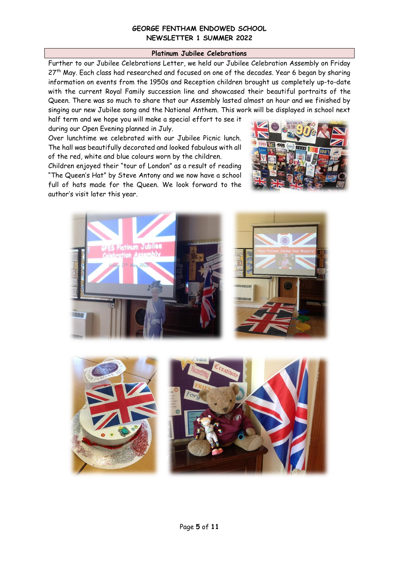#### **Platinum Jubilee Celebrations**

Further to our Jubilee Celebrations Letter, we held our Jubilee Celebration Assembly on Friday 27<sup>th</sup> May. Each class had researched and focused on one of the decades. Year 6 began by sharing information on events from the 1950s and Reception children brought us completely up-to-date with the current Royal Family succession line and showcased their beautiful portraits of the Queen. There was so much to share that our Assembly lasted almost an hour and we finished by singing our new Jubilee song and the National Anthem. This work will be displayed in school next

half term and we hope you will make a special effort to see it during our Open Evening planned in July.

Over lunchtime we celebrated with our Jubilee Picnic lunch. The hall was beautifully decorated and looked fabulous with all of the red, white and blue colours worn by the children.

Children enjoyed their "tour of London" as a result of reading "The Queen's Hat" by Steve Antony and we now have a school full of hats made for the Queen. We look forward to the author's visit later this year.





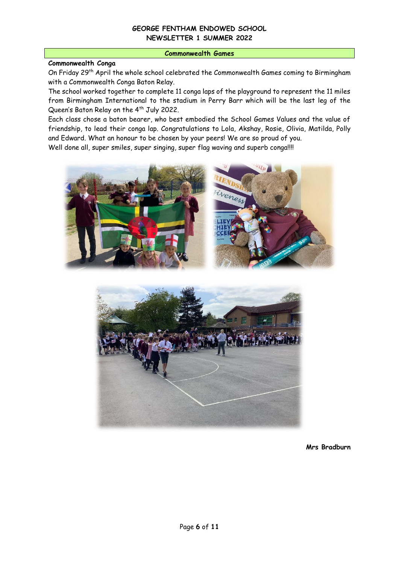#### **Commonwealth Games**

# **Commonwealth Conga**

On Friday 29<sup>th</sup> April the whole school celebrated the Commonwealth Games coming to Birmingham with a Commonwealth Conga Baton Relay.

The school worked together to complete 11 conga laps of the playground to represent the 11 miles from Birmingham International to the stadium in Perry Barr which will be the last leg of the Queen's Baton Relay on the 4<sup>th</sup> July 2022.

Each class chose a baton bearer, who best embodied the School Games Values and the value of friendship, to lead their conga lap. Congratulations to Lola, Akshay, Rosie, Olivia, Matilda, Polly and Edward. What an honour to be chosen by your peers! We are so proud of you.

Well done all, super smiles, super singing, super flag waving and superb conga!!!!





**Mrs Bradburn**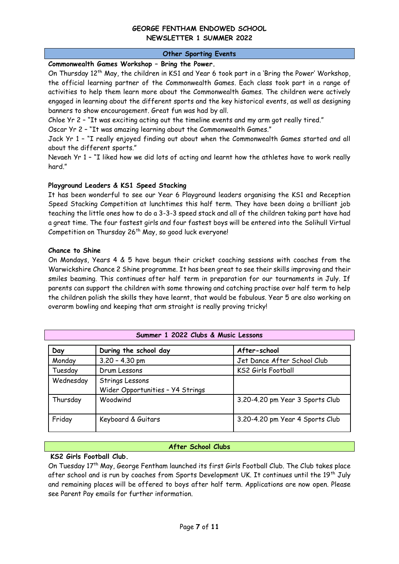### **Other Sporting Events**

# **Commonwealth Games Workshop – Bring the Power.**

On Thursday 12<sup>th</sup> May, the children in KS1 and Year 6 took part in a 'Bring the Power' Workshop, the official learning partner of the Commonwealth Games. Each class took part in a range of activities to help them learn more about the Commonwealth Games. The children were actively engaged in learning about the different sports and the key historical events, as well as designing banners to show encouragement. Great fun was had by all.

Chloe Yr 2 – "It was exciting acting out the timeline events and my arm got really tired."

Oscar Yr 2 – "It was amazing learning about the Commonwealth Games."

Jack Yr 1 – "I really enjoyed finding out about when the Commonwealth Games started and all about the different sports."

Nevaeh Yr 1 – "I liked how we did lots of acting and learnt how the athletes have to work really hard."

### **Playground Leaders & KS1 Speed Stacking**

It has been wonderful to see our Year 6 Playground leaders organising the KS1 and Reception Speed Stacking Competition at lunchtimes this half term. They have been doing a brilliant job teaching the little ones how to do a 3-3-3 speed stack and all of the children taking part have had a great time. The four fastest girls and four fastest boys will be entered into the Solihull Virtual Competition on Thursday 26<sup>th</sup> May, so good luck everyone!

### **Chance to Shine**

On Mondays, Years 4 & 5 have begun their cricket coaching sessions with coaches from the Warwickshire Chance 2 Shine programme. It has been great to see their skills improving and their smiles beaming. This continues after half term in preparation for our tournaments in July. If parents can support the children with some throwing and catching practise over half term to help the children polish the skills they have learnt, that would be fabulous. Year 5 are also working on overarm bowling and keeping that arm straight is really proving tricky!

| Day       | During the school day                               | After-school                    |
|-----------|-----------------------------------------------------|---------------------------------|
| Monday    | $3.20 - 4.30$ pm                                    | Jet Dance After School Club     |
| Tuesday   | Drum Lessons                                        | KS2 Girls Football              |
| Wednesday | Strings Lessons<br>Wider Opportunities - Y4 Strings |                                 |
| Thursday  | Woodwind                                            | 3.20-4.20 pm Year 3 Sports Club |
| Friday    | Keyboard & Guitars                                  | 3.20-4.20 pm Year 4 Sports Club |

# **After School Clubs**

# **KS2 Girls Football Club.**

On Tuesday 17th May, George Fentham launched its first Girls Football Club. The Club takes place after school and is run by coaches from Sports Development UK. It continues until the 19<sup>th</sup> July and remaining places will be offered to boys after half term. Applications are now open. Please see Parent Pay emails for further information.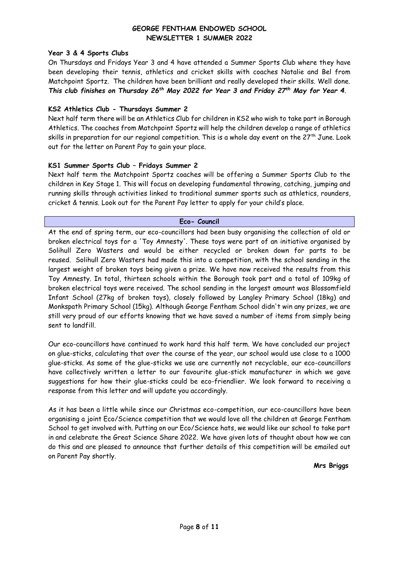### **Year 3 & 4 Sports Clubs**

On Thursdays and Fridays Year 3 and 4 have attended a Summer Sports Club where they have been developing their tennis, athletics and cricket skills with coaches Natalie and Bel from Matchpoint Sportz. The children have been brilliant and really developed their skills. Well done. *This club finishes on Thursday 26th May 2022 for Year 3 and Friday 27th May for Year 4*.

### **KS2 Athletics Club - Thursdays Summer 2**

Next half term there will be an Athletics Club for children in KS2 who wish to take part in Borough Athletics. The coaches from Matchpoint Sportz will help the children develop a range of athletics skills in preparation for our regional competition. This is a whole day event on the 27<sup>th</sup> June. Look out for the letter on Parent Pay to gain your place.

### **KS1 Summer Sports Club – Fridays Summer 2**

Next half term the Matchpoint Sportz coaches will be offering a Summer Sports Club to the children in Key Stage 1. This will focus on developing fundamental throwing, catching, jumping and running skills through activities linked to traditional summer sports such as athletics, rounders, cricket & tennis. Look out for the Parent Pay letter to apply for your child's place.

#### **Eco- Council**

At the end of spring term, our eco-councillors had been busy organising the collection of old or broken electrical toys for a 'Toy Amnesty'. These toys were part of an initiative organised by Solihull Zero Wasters and would be either recycled or broken down for parts to be reused. Solihull Zero Wasters had made this into a competition, with the school sending in the largest weight of broken toys being given a prize. We have now received the results from this Toy Amnesty. In total, thirteen schools within the Borough took part and a total of 109kg of broken electrical toys were received. The school sending in the largest amount was Blossomfield Infant School (27kg of broken toys), closely followed by Langley Primary School (18kg) and Monkspath Primary School (15kg). Although George Fentham School didn't win any prizes, we are still very proud of our efforts knowing that we have saved a number of items from simply being sent to landfill.

Our eco-councillors have continued to work hard this half term. We have concluded our project on glue-sticks, calculating that over the course of the year, our school would use close to a 1000 glue-sticks. As some of the glue-sticks we use are currently not recyclable, our eco-councillors have collectively written a letter to our favourite glue-stick manufacturer in which we gave suggestions for how their glue-sticks could be eco-friendlier. We look forward to receiving a response from this letter and will update you accordingly.

As it has been a little while since our Christmas eco-competition, our eco-councillors have been organising a joint Eco/Science competition that we would love all the children at George Fentham School to get involved with. Putting on our Eco/Science hats, we would like our school to take part in and celebrate the Great Science Share 2022. We have given lots of thought about how we can do this and are pleased to announce that further details of this competition will be emailed out on Parent Pay shortly.

**Mrs Briggs**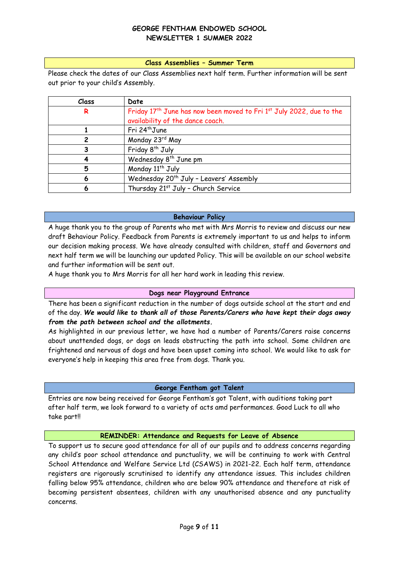#### **Class Assemblies – Summer Term**

Please check the dates of our Class Assemblies next half term. Further information will be sent out prior to your child's Assembly.

| Class | Date                                                                                         |
|-------|----------------------------------------------------------------------------------------------|
| R     | Friday 17 <sup>th</sup> June has now been moved to Fri 1 <sup>st</sup> July 2022, due to the |
|       | availability of the dance coach.                                                             |
|       | Fri 24 <sup>th</sup> June                                                                    |
| 2     | Monday 23rd May                                                                              |
|       | Friday 8 <sup>th</sup> July                                                                  |
|       | Wednesday 8 <sup>th</sup> June pm                                                            |
| 5     | Monday 11 <sup>th</sup> July                                                                 |
| 6     | Wednesday 20 <sup>th</sup> July - Leavers' Assembly                                          |
| 6     | Thursday 21 <sup>st</sup> July - Church Service                                              |

#### **Behaviour Policy**

A huge thank you to the group of Parents who met with Mrs Morris to review and discuss our new draft Behaviour Policy. Feedback from Parents is extremely important to us and helps to inform our decision making process. We have already consulted with children, staff and Governors and next half term we will be launching our updated Policy. This will be available on our school website and further information will be sent out.

A huge thank you to Mrs Morris for all her hard work in leading this review.

#### **Dogs near Playground Entrance**

There has been a significant reduction in the number of dogs outside school at the start and end of the day. *We would like to thank all of those Parents/Carers who have kept their dogs away from the path between school and the allotments.* 

As highlighted in our previous letter, we have had a number of Parents/Carers raise concerns about unattended dogs, or dogs on leads obstructing the path into school. Some children are frightened and nervous of dogs and have been upset coming into school. We would like to ask for everyone's help in keeping this area free from dogs. Thank you.

#### **George Fentham got Talent**

Entries are now being received for George Fentham's got Talent, with auditions taking part after half term, we look forward to a variety of acts amd performances. Good Luck to all who take part!!

#### **REMINDER: Attendance and Requests for Leave of Absence**

To support us to secure good attendance for all of our pupils and to address concerns regarding any child's poor school attendance and punctuality, we will be continuing to work with Central School Attendance and Welfare Service Ltd (CSAWS) in 2021-22. Each half term, attendance registers are rigorously scrutinised to identify any attendance issues. This includes children falling below 95% attendance, children who are below 90% attendance and therefore at risk of becoming persistent absentees, children with any unauthorised absence and any punctuality concerns.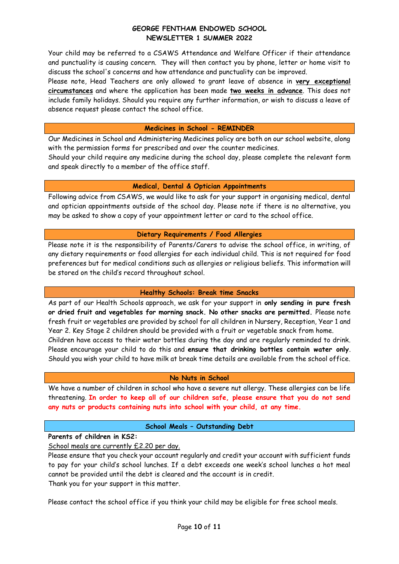Your child may be referred to a CSAWS Attendance and Welfare Officer if their attendance and punctuality is causing concern. They will then contact you by phone, letter or home visit to discuss the school's concerns and how attendance and punctuality can be improved.

Please note, Head Teachers are only allowed to grant leave of absence in **very exceptional circumstances** and where the application has been made **two weeks in advance**. This does not include family holidays. Should you require any further information, or wish to discuss a leave of absence request please contact the school office.

#### **Medicines in School - REMINDER**

Our Medicines in School and Administering Medicines policy are both on our school website, along with the permission forms for prescribed and over the counter medicines.

Should your child require any medicine during the school day, please complete the relevant form and speak directly to a member of the office staff.

### **Medical, Dental & Optician Appointments**

Following advice from CSAWS, we would like to ask for your support in organising medical, dental and optician appointments outside of the school day. Please note if there is no alternative, you may be asked to show a copy of your appointment letter or card to the school office.

### **Dietary Requirements / Food Allergies**

Please note it is the responsibility of Parents/Carers to advise the school office, in writing, of any dietary requirements or food allergies for each individual child. This is not required for food preferences but for medical conditions such as allergies or religious beliefs. This information will be stored on the child's record throughout school.

# **Healthy Schools: Break time Snacks**

As part of our Health Schools approach, we ask for your support in **only sending in pure fresh or dried fruit and vegetables for morning snack. No other snacks are permitted.** Please note fresh fruit or vegetables are provided by school for all children in Nursery, Reception, Year 1 and Year 2. Key Stage 2 children should be provided with a fruit or vegetable snack from home. Children have access to their water bottles during the day and are regularly reminded to drink. Please encourage your child to do this and **ensure that drinking bottles contain water only**. Should you wish your child to have milk at break time details are available from the school office.

# **No Nuts in School**

We have a number of children in school who have a severe nut allergy. These allergies can be life threatening. **In order to keep all of our children safe, please ensure that you do not send any nuts or products containing nuts into school with your child, at any time.** 

# **School Meals – Outstanding Debt**

**Parents of children in KS2:**

School meals are currently £2.20 per day.

Please ensure that you check your account regularly and credit your account with sufficient funds to pay for your child's school lunches. If a debt exceeds one week's school lunches a hot meal cannot be provided until the debt is cleared and the account is in credit. Thank you for your support in this matter.

Please contact the school office if you think your child may be eligible for free school meals.